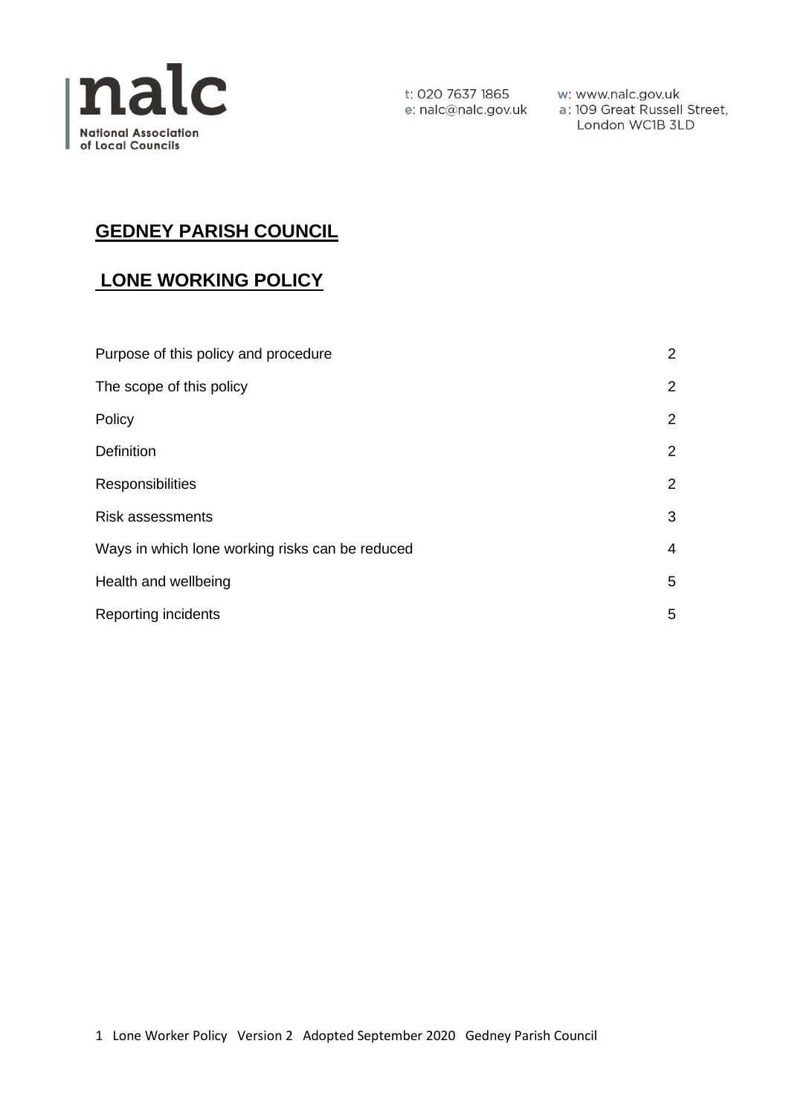

t: 020 7637 1865 e: nalc@nalc.gov.uk

w: www.nalc.gov.uk a: 109 Great Russell Street, London WC1B 3LD

# **GEDNEY PARISH COUNCIL**

## **LONE WORKING POLICY**

| Purpose of this policy and procedure            | $\overline{2}$        |
|-------------------------------------------------|-----------------------|
| The scope of this policy                        | $\overline{2}$        |
| Policy                                          | $\overline{2}$        |
| Definition                                      | $\overline{2}$        |
| Responsibilities                                | $\mathbf{2}^{\prime}$ |
| <b>Risk assessments</b>                         | 3                     |
| Ways in which lone working risks can be reduced | 4                     |
| Health and wellbeing                            | 5                     |
| Reporting incidents                             | 5                     |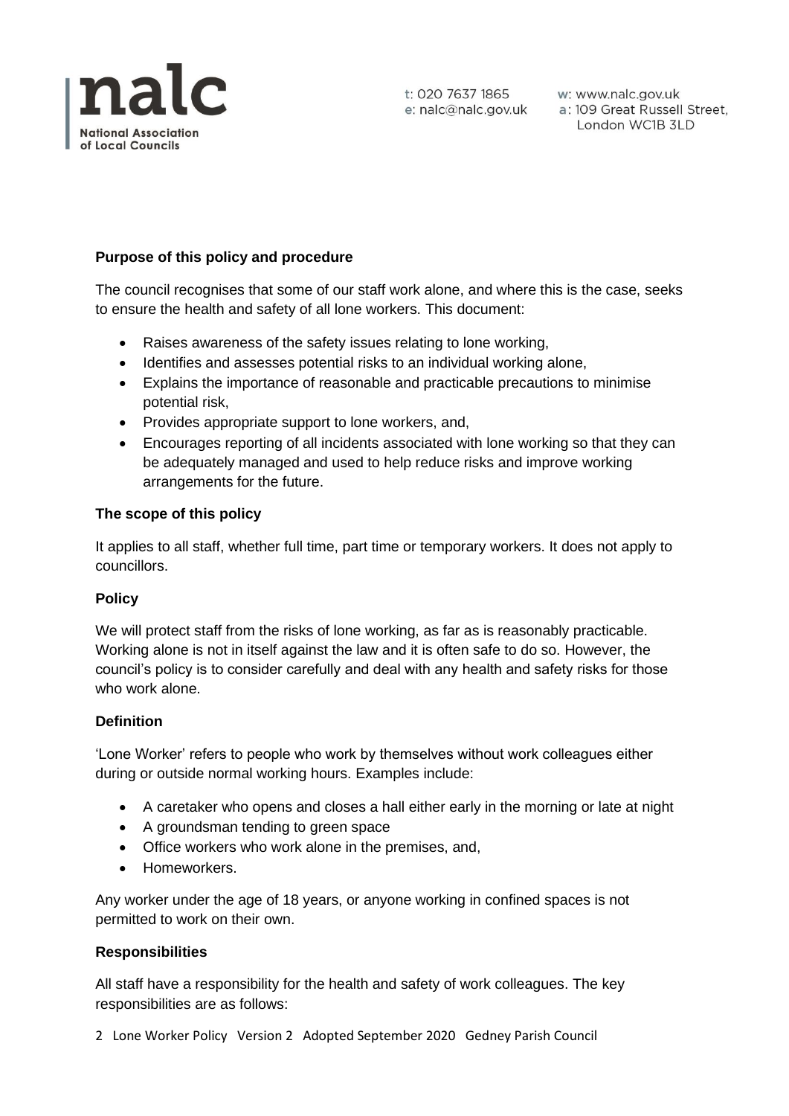

## **Purpose of this policy and procedure**

The council recognises that some of our staff work alone, and where this is the case, seeks to ensure the health and safety of all lone workers. This document:

- Raises awareness of the safety issues relating to lone working,
- Identifies and assesses potential risks to an individual working alone,
- Explains the importance of reasonable and practicable precautions to minimise potential risk,
- Provides appropriate support to lone workers, and,
- Encourages reporting of all incidents associated with lone working so that they can be adequately managed and used to help reduce risks and improve working arrangements for the future.

## **The scope of this policy**

It applies to all staff, whether full time, part time or temporary workers. It does not apply to councillors.

#### **Policy**

We will protect staff from the risks of lone working, as far as is reasonably practicable. Working alone is not in itself against the law and it is often safe to do so. However, the council's policy is to consider carefully and deal with any health and safety risks for those who work alone.

#### **Definition**

'Lone Worker' refers to people who work by themselves without work colleagues either during or outside normal working hours. Examples include:

- A caretaker who opens and closes a hall either early in the morning or late at night
- A groundsman tending to green space
- Office workers who work alone in the premises, and,
- Homeworkers.

Any worker under the age of 18 years, or anyone working in confined spaces is not permitted to work on their own.

#### **Responsibilities**

All staff have a responsibility for the health and safety of work colleagues. The key responsibilities are as follows:

2 Lone Worker Policy Version 2 Adopted September 2020 Gedney Parish Council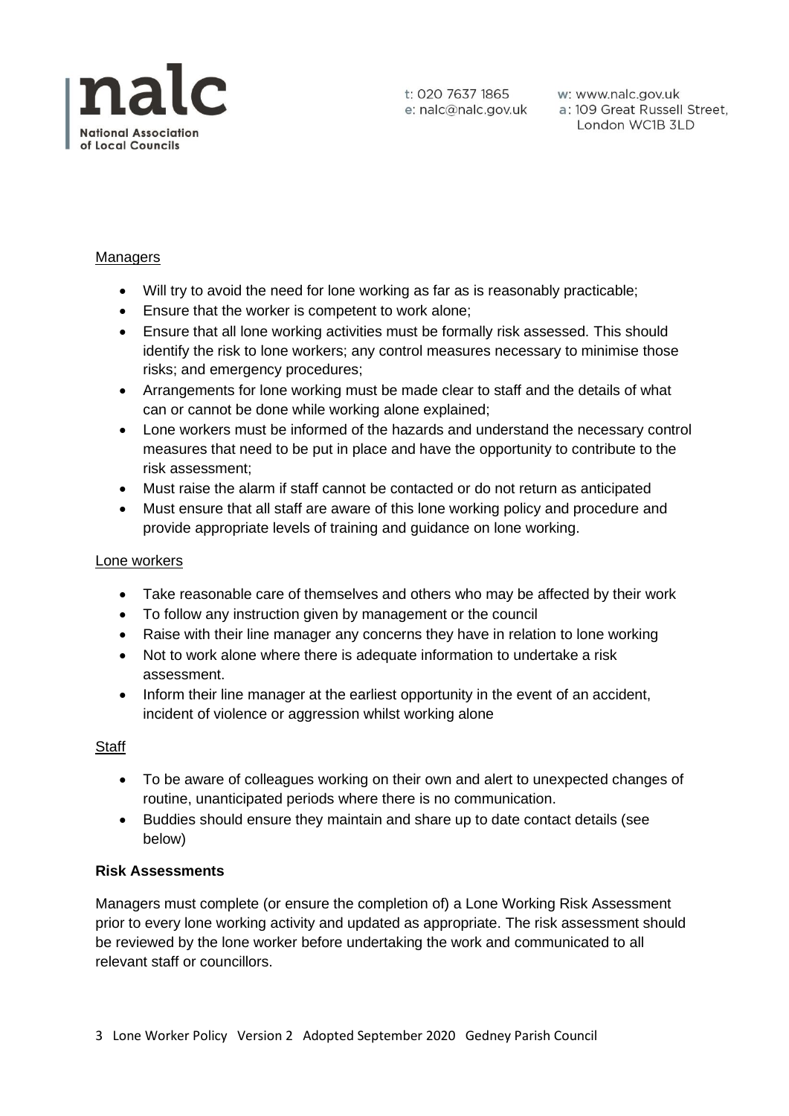

t: 020 7637 1865 e: nalc@nalc.gov.uk

w: www.nalc.gov.uk w: www.nalc.gov.uk<br>a: 109 Great Russell Street, London WC1B 3LD

### Managers

- Will try to avoid the need for lone working as far as is reasonably practicable;
- Ensure that the worker is competent to work alone;
- Ensure that all lone working activities must be formally risk assessed. This should identify the risk to lone workers; any control measures necessary to minimise those risks; and emergency procedures;
- Arrangements for lone working must be made clear to staff and the details of what can or cannot be done while working alone explained;
- Lone workers must be informed of the hazards and understand the necessary control measures that need to be put in place and have the opportunity to contribute to the risk assessment;
- Must raise the alarm if staff cannot be contacted or do not return as anticipated
- Must ensure that all staff are aware of this lone working policy and procedure and provide appropriate levels of training and guidance on lone working.

#### Lone workers

- Take reasonable care of themselves and others who may be affected by their work
- To follow any instruction given by management or the council
- Raise with their line manager any concerns they have in relation to lone working
- Not to work alone where there is adequate information to undertake a risk assessment.
- Inform their line manager at the earliest opportunity in the event of an accident, incident of violence or aggression whilst working alone

#### **Staff**

- To be aware of colleagues working on their own and alert to unexpected changes of routine, unanticipated periods where there is no communication.
- Buddies should ensure they maintain and share up to date contact details (see below)

#### **Risk Assessments**

Managers must complete (or ensure the completion of) a Lone Working Risk Assessment prior to every lone working activity and updated as appropriate. The risk assessment should be reviewed by the lone worker before undertaking the work and communicated to all relevant staff or councillors.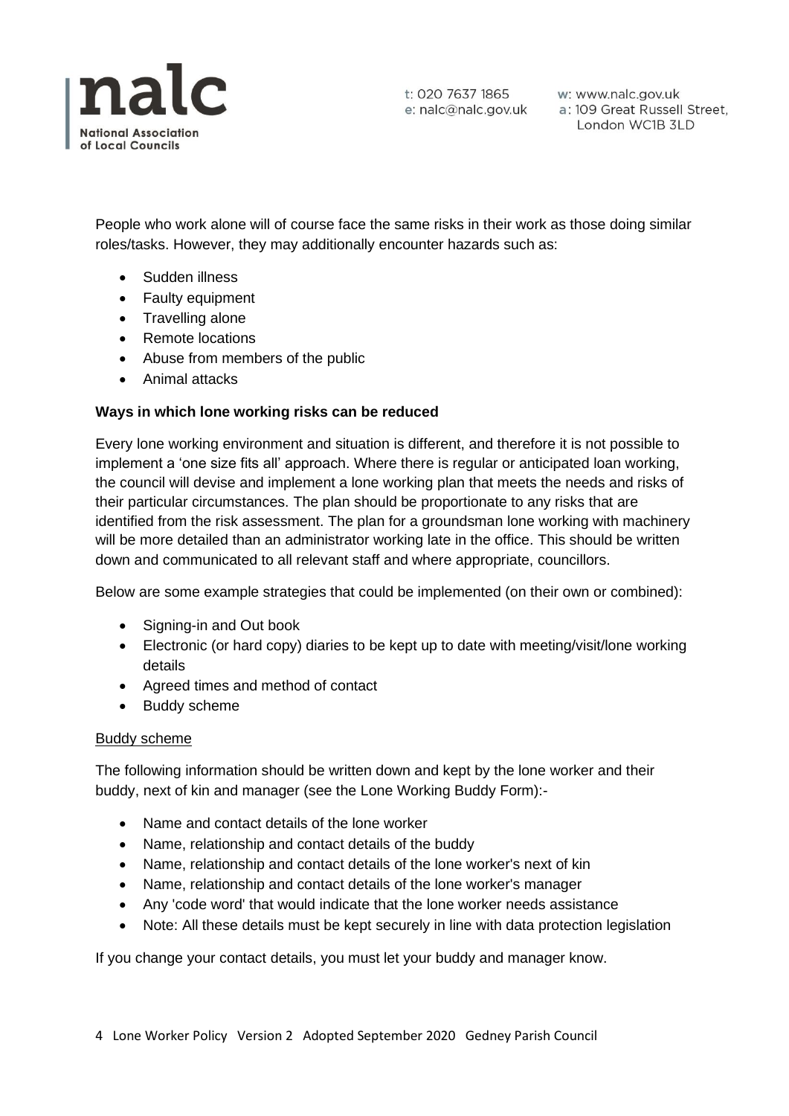

t: 020 7637 1865 e: nalc@nalc.gov.uk

w: www.nalc.gov.uk a: 109 Great Russell Street, London WC1B 3LD

People who work alone will of course face the same risks in their work as those doing similar roles/tasks. However, they may additionally encounter hazards such as:

- Sudden illness
- Faulty equipment
- Travelling alone
- Remote locations
- Abuse from members of the public
- Animal attacks

## **Ways in which lone working risks can be reduced**

Every lone working environment and situation is different, and therefore it is not possible to implement a 'one size fits all' approach. Where there is regular or anticipated loan working, the council will devise and implement a lone working plan that meets the needs and risks of their particular circumstances. The plan should be proportionate to any risks that are identified from the risk assessment. The plan for a groundsman lone working with machinery will be more detailed than an administrator working late in the office. This should be written down and communicated to all relevant staff and where appropriate, councillors.

Below are some example strategies that could be implemented (on their own or combined):

- Signing-in and Out book
- Electronic (or hard copy) diaries to be kept up to date with meeting/visit/lone working details
- Agreed times and method of contact
- Buddy scheme

#### Buddy scheme

The following information should be written down and kept by the lone worker and their buddy, next of kin and manager (see the Lone Working Buddy Form):-

- Name and contact details of the lone worker
- Name, relationship and contact details of the buddy
- Name, relationship and contact details of the lone worker's next of kin
- Name, relationship and contact details of the lone worker's manager
- Any 'code word' that would indicate that the lone worker needs assistance
- Note: All these details must be kept securely in line with data protection legislation

If you change your contact details, you must let your buddy and manager know.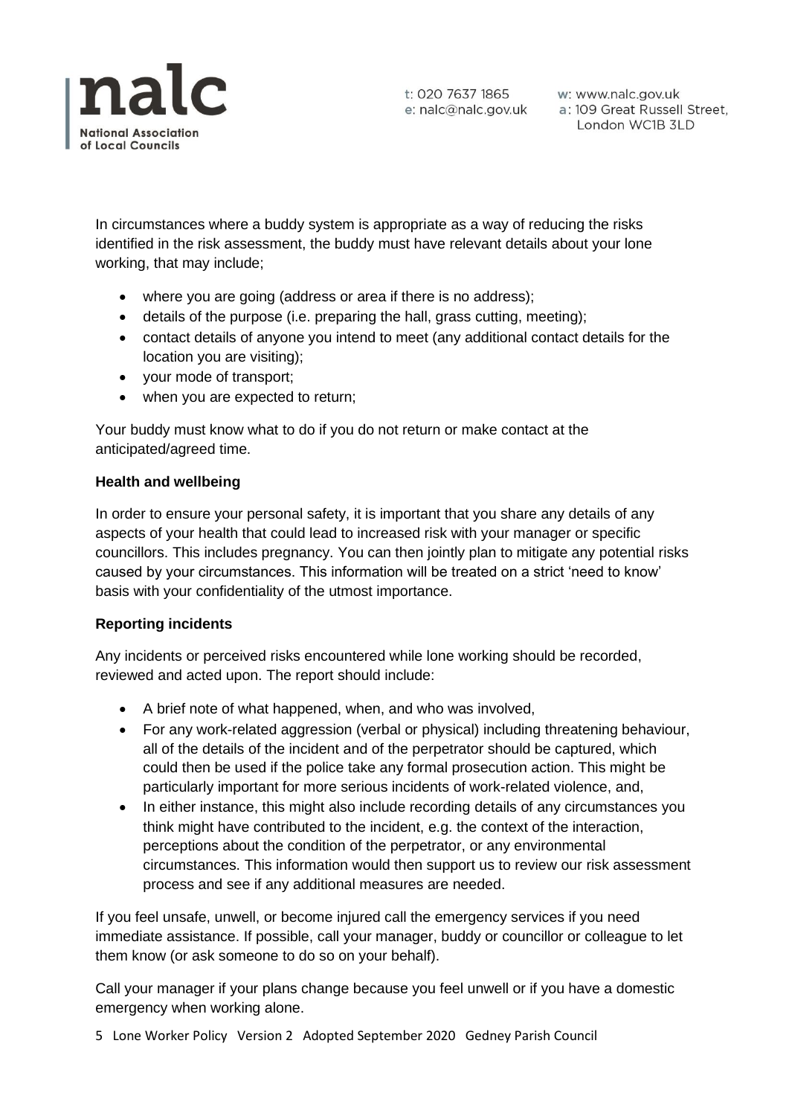

t: 020 7637 1865 w: www.nalc.gov.uk<br>e: nalc@nalc.gov.uk a: 109 Great Russell Street, London WC1B 3LD

In circumstances where a buddy system is appropriate as a way of reducing the risks identified in the risk assessment, the buddy must have relevant details about your lone working, that may include;

- where you are going (address or area if there is no address);
- details of the purpose (i.e. preparing the hall, grass cutting, meeting);
- contact details of anyone you intend to meet (any additional contact details for the location you are visiting);
- your mode of transport;
- when you are expected to return;

Your buddy must know what to do if you do not return or make contact at the anticipated/agreed time.

#### **Health and wellbeing**

In order to ensure your personal safety, it is important that you share any details of any aspects of your health that could lead to increased risk with your manager or specific councillors. This includes pregnancy. You can then jointly plan to mitigate any potential risks caused by your circumstances. This information will be treated on a strict 'need to know' basis with your confidentiality of the utmost importance.

#### **Reporting incidents**

Any incidents or perceived risks encountered while lone working should be recorded, reviewed and acted upon. The report should include:

- A brief note of what happened, when, and who was involved,
- For any work-related aggression (verbal or physical) including threatening behaviour, all of the details of the incident and of the perpetrator should be captured, which could then be used if the police take any formal prosecution action. This might be particularly important for more serious incidents of work-related violence, and,
- In either instance, this might also include recording details of any circumstances you think might have contributed to the incident, e.g. the context of the interaction, perceptions about the condition of the perpetrator, or any environmental circumstances. This information would then support us to review our risk assessment process and see if any additional measures are needed.

If you feel unsafe, unwell, or become injured call the emergency services if you need immediate assistance. If possible, call your manager, buddy or councillor or colleague to let them know (or ask someone to do so on your behalf).

Call your manager if your plans change because you feel unwell or if you have a domestic emergency when working alone.

5 Lone Worker Policy Version 2 Adopted September 2020 Gedney Parish Council